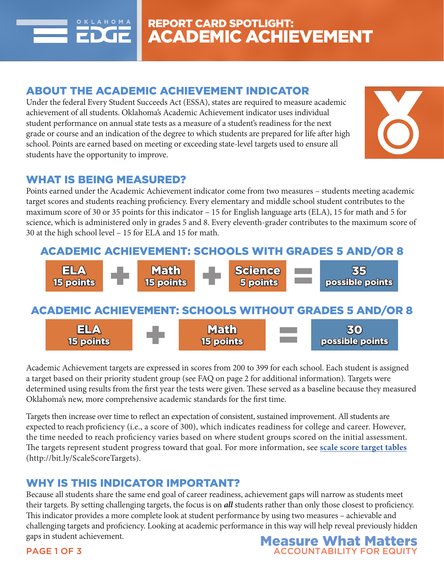

## ABOUT THE ACADEMIC ACHIEVEMENT INDICATOR

Under the federal Every Student Succeeds Act (ESSA), states are required to measure academic achievement of all students. Oklahoma's Academic Achievement indicator uses individual student performance on annual state tests as a measure of a student's readiness for the next grade or course and an indication of the degree to which students are prepared for life after high school. Points are earned based on meeting or exceeding state-level targets used to ensure all students have the opportunity to improve.



### WHAT IS BEING MEASURED?

Points earned under the Academic Achievement indicator come from two measures – students meeting academic target scores and students reaching proficiency. Every elementary and middle school student contributes to the maximum score of 30 or 35 points for this indicator – 15 for English language arts (ELA), 15 for math and 5 for science, which is administered only in grades 5 and 8. Every eleventh-grader contributes to the maximum score of 30 at the high school level – 15 for ELA and 15 for math.





Academic Achievement targets are expressed in scores from 200 to 399 for each school. Each student is assigned a target based on their priority student group (see FAQ on page 2 for additional information). Targets were determined using results from the first year the tests were given. These served as a baseline because they measured Oklahoma's new, more comprehensive academic standards for the first time.

Targets then increase over time to reflect an expectation of consistent, sustained improvement. All students are expected to reach proficiency (i.e., a score of 300), which indicates readiness for college and career. However, the time needed to reach proficiency varies based on where student groups scored on the initial assessment. The targets represent student progress toward that goal. For more information, see **scale score target tables** (http://bit.ly/ScaleScoreTargets).

# WHY IS THIS INDICATOR IMPORTANT?

Because all students share the same end goal of career readiness, achievement gaps will narrow as students meet their targets. By setting challenging targets, the focus is on *all* students rather than only those closest to proficiency. This indicator provides a more complete look at student performance by using two measures – achievable and challenging targets and proficiency. Looking at academic performance in this way will help reveal previously hidden gaps in student achievement. **Measure What Matters** 



#### PAGE 1 OF 3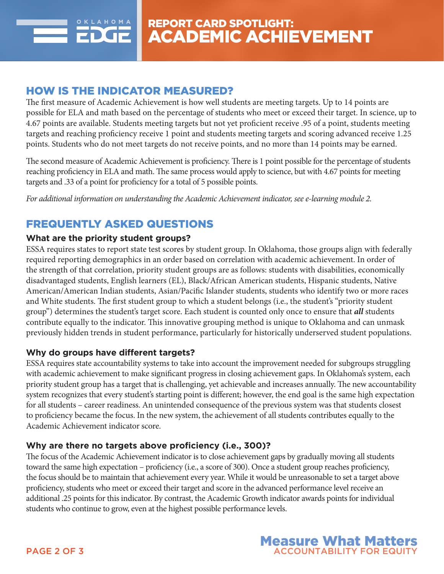

### HOW IS THE INDICATOR MEASURED?

The first measure of Academic Achievement is how well students are meeting targets. Up to 14 points are possible for ELA and math based on the percentage of students who meet or exceed their target. In science, up to 4.67 points are available. Students meeting targets but not yet proficient receive .95 of a point, students meeting targets and reaching proficiency receive 1 point and students meeting targets and scoring advanced receive 1.25 points. Students who do not meet targets do not receive points, and no more than 14 points may be earned.

The second measure of Academic Achievement is proficiency. There is 1 point possible for the percentage of students reaching proficiency in ELA and math. The same process would apply to science, but with 4.67 points for meeting targets and .33 of a point for proficiency for a total of 5 possible points.

*For additional information on understanding the Academic Achievement indicator, see e-learning module 2.*

# FREQUENTLY ASKED QUESTIONS

### **What are the priority student groups?**

ESSA requires states to report state test scores by student group. In Oklahoma, those groups align with federally required reporting demographics in an order based on correlation with academic achievement. In order of the strength of that correlation, priority student groups are as follows: students with disabilities, economically disadvantaged students, English learners (EL), Black/African American students, Hispanic students, Native American/American Indian students, Asian/Pacific Islander students, students who identify two or more races and White students. The first student group to which a student belongs (i.e., the student's "priority student group") determines the student's target score. Each student is counted only once to ensure that *all* students contribute equally to the indicator. This innovative grouping method is unique to Oklahoma and can unmask previously hidden trends in student performance, particularly for historically underserved student populations.

#### **Why do groups have different targets?**

ESSA requires state accountability systems to take into account the improvement needed for subgroups struggling with academic achievement to make significant progress in closing achievement gaps. In Oklahoma's system, each priority student group has a target that is challenging, yet achievable and increases annually. The new accountability system recognizes that every student's starting point is different; however, the end goal is the same high expectation for all students – career readiness. An unintended consequence of the previous system was that students closest to proficiency became the focus. In the new system, the achievement of all students contributes equally to the Academic Achievement indicator score.

#### **Why are there no targets above proficiency (i.e., 300)?**

The focus of the Academic Achievement indicator is to close achievement gaps by gradually moving all students toward the same high expectation – proficiency (i.e., a score of 300). Once a student group reaches proficiency, the focus should be to maintain that achievement every year. While it would be unreasonable to set a target above proficiency, students who meet or exceed their target and score in the advanced performance level receive an additional .25 points for this indicator. By contrast, the Academic Growth indicator awards points for individual students who continue to grow, even at the highest possible performance levels.